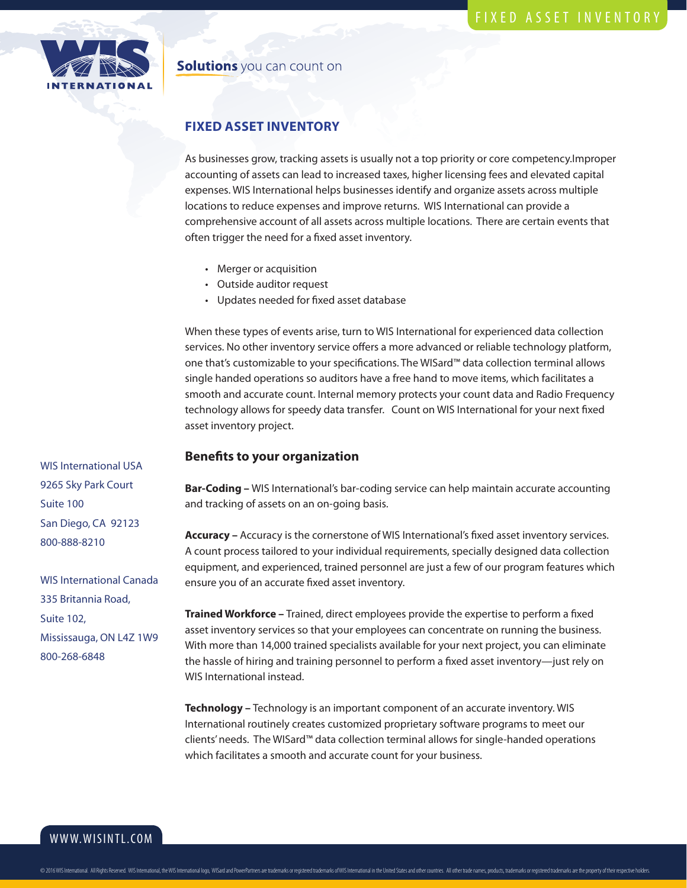## **Solutions** you can count on

# **FIXED ASSET INVENTORY**

As businesses grow, tracking assets is usually not a top priority or core competency.Improper accounting of assets can lead to increased taxes, higher licensing fees and elevated capital expenses. WIS International helps businesses identify and organize assets across multiple locations to reduce expenses and improve returns. WIS International can provide a comprehensive account of all assets across multiple locations. There are certain events that often trigger the need for a fixed asset inventory.

- Merger or acquisition
- Outside auditor request
- Updates needed for fixed asset database

When these types of events arise, turn to WIS International for experienced data collection services. No other inventory service offers a more advanced or reliable technology platform, one that's customizable to your specifications. The WISard™ data collection terminal allows single handed operations so auditors have a free hand to move items, which facilitates a smooth and accurate count. Internal memory protects your count data and Radio Frequency technology allows for speedy data transfer. Count on WIS International for your next fixed asset inventory project.

#### **Benefits to your organization**

**Bar-Coding –** WIS International's bar-coding service can help maintain accurate accounting and tracking of assets on an on-going basis.

**Accuracy –** Accuracy is the cornerstone of WIS International's fixed asset inventory services. A count process tailored to your individual requirements, specially designed data collection equipment, and experienced, trained personnel are just a few of our program features which ensure you of an accurate fixed asset inventory.

**Trained Workforce –** Trained, direct employees provide the expertise to perform a fixed asset inventory services so that your employees can concentrate on running the business. With more than 14,000 trained specialists available for your next project, you can eliminate the hassle of hiring and training personnel to perform a fixed asset inventory—just rely on WIS International instead.

**Technology –** Technology is an important component of an accurate inventory. WIS International routinely creates customized proprietary software programs to meet our clients' needs. The WISard™ data collection terminal allows for single-handed operations which facilitates a smooth and accurate count for your business.

WIS International USA 9265 Sky Park Court Suite 100 San Diego, CA 92123 800-888-8210

WIS International Canada 335 Britannia Road, Suite 102, Mississauga, ON L4Z 1W9 800-268-6848

WWW.WISINTL.COM